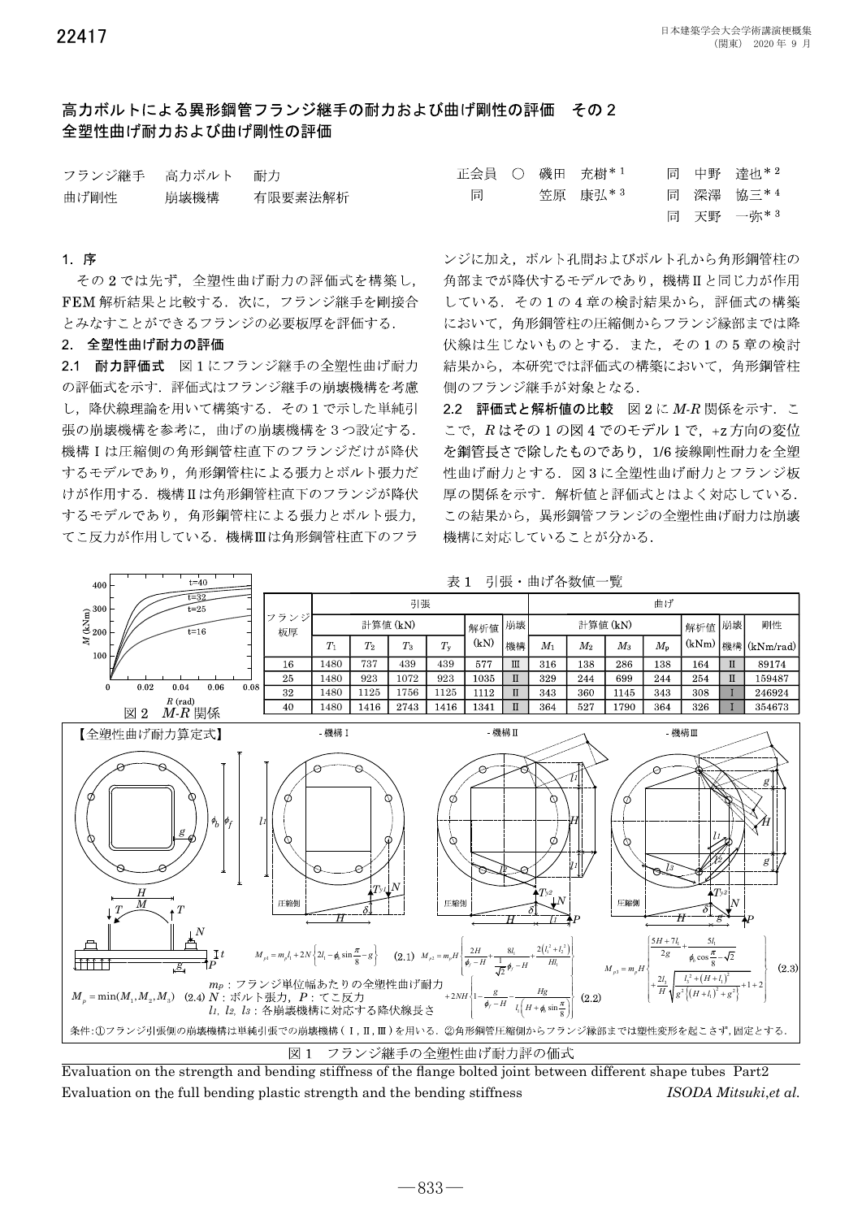# 高カボルトによる異形綱管フランジ継手の耐カおよび曲げ剛性の評価 その2 全塑性曲げ耐力および曲げ剛性の評価

| フランジ継手 高力ボルト 耐力 |                |    |  | 正会員 ○ 磯田 充樹*1 |       | 同 中野 達也*2  |
|-----------------|----------------|----|--|---------------|-------|------------|
| 曲げ剛性            | 崩壊機構   有限要素法解析 | 同一 |  | - 笠原 康弘* 3    |       | 同 深澤 協三* 4 |
|                 |                |    |  |               | 一一一田之 | 74.42      |

## 1 序

その2では先ず、全塑性曲げ耐力の評価式を構築し, FEM 解析結果と比較する. 次に、フランジ継手を剛接合 とみなすことができるフランジの必要板厚を評価する.

# 2 全塑性曲げ耐力の評価

2.1 耐力評価式 図1にフランジ継手の全塑性曲げ耐力 の評価式を示す. 評価式はフランジ継手の崩壊機構を考慮 し、降伏線理論を用いて構築する. その1で示した単純引 張の崩壊機構を参考に、曲げの崩壊機構を3つ設定する. 機構Iは圧縮側の角形鋼管柱直下のフランジだけが降伏 するモデルであり、角形鋼管柱による張力とボルト張力だ けが作用する. 機構Ⅱは角形鋼管柱直下のフランジが降伏 するモデルであり、角形鋼管柱による張力とボルト張力, てこ反力が作用している. 機構Ⅲは角形鋼管柱直下のフラ

|   |  | 正会員 ○ 磯田 充樹*╹ |  | 同 中野 達也**  |
|---|--|---------------|--|------------|
| 同 |  | - 笠原 - 康弘* 3  |  | 同 深澤 協三*4  |
|   |  |               |  | 同 天野 一弥* 3 |

ンジに加え、ボルト孔間およびボルト孔から角形鋼管柱の 角部までが降伏するモデルであり、機構Ⅱと同じ力が作用 している. その1の4章の検討結果から、評価式の構築 において、角形鋼管柱の圧縮側からフランジ縁部までは降 伏線は生じないものとする. また、その1の5章の検討 結果から、本研究では評価式の構築において、角形鋼管柱 側のフランジ継手が対象となる.

2.2 評価式と解析値の比較 図2に M-R 関係を示す. こ こで、Rはその1の図4でのモデル1で、+z方向の変位 を鋼管長さで除したものであり、1/6 接線剛性耐力を全塑 性曲げ耐力とする. 図3に全塑性曲げ耐力とフランジ板 厚の関係を示す. 解析値と評価式とはよく対応している. この結果から、異形鋼管フランジの全塑性曲げ耐力は崩壊 機構に対応していることが分かる.



Evaluation on the strength and bending stiffness of the flange bolted joint between different shape tubes Part2 Evaluation on the full bending plastic strength and the bending stiffness ISODA Mitsuki, et al.